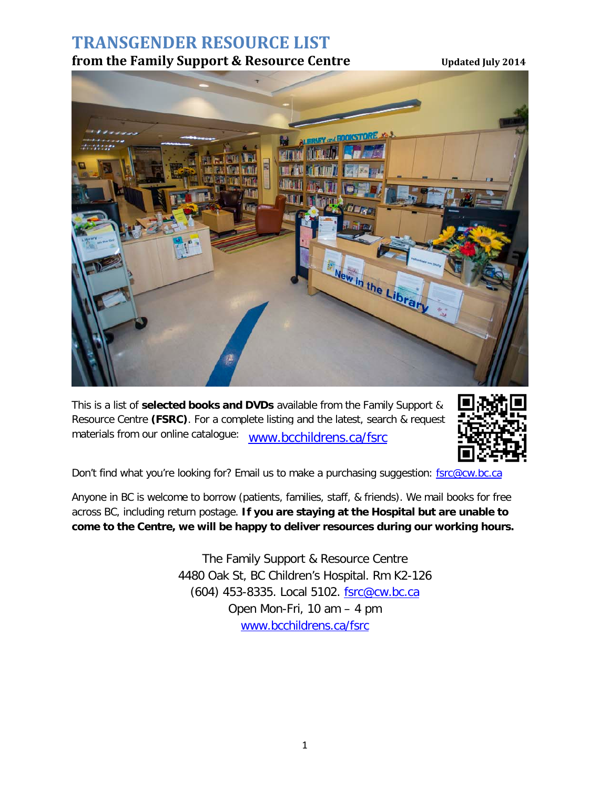# **TRANSGENDER RESOURCE LIST**

#### **from the Family Support & Resource Centre** Updated July 2014



This is a list of **selected books and DVDs** available from the Family Support & Resource Centre **(FSRC)**. For a complete listing and the latest, search & request materials from our online catalogue: www.bcchildrens.ca/fsrc



Don't find what you're looking for? Email us to make a purchasing suggestion: [fsrc@cw.bc.ca](mailto:fsrc@cw.bc.ca)

Anyone in BC is welcome to borrow (patients, families, staff, & friends). We mail books for free across BC, including return postage. **If you are staying at the Hospital but are unable to come to the Centre, we will be happy to deliver resources during our working hours.** 

> The Family Support & Resource Centre 4480 Oak St, BC Children's Hospital. Rm K2-126 (604) 453-8335. Local 5102. [fsrc@cw.bc.ca](mailto:fsrc@cw.bc.ca) Open Mon-Fri, 10 am – 4 pm [www.bcchildrens.ca/fsrc](http://www.bcchildrens.ca/fsrc)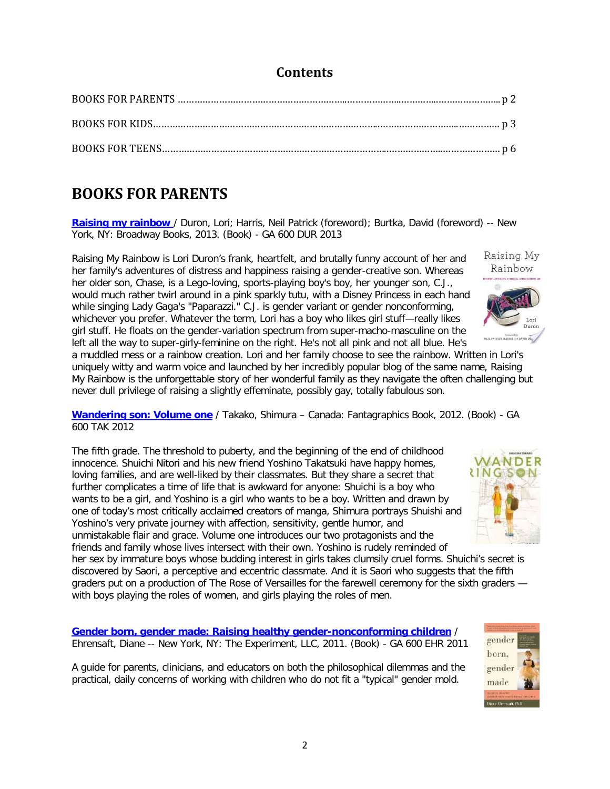#### **Contents**

## **BOOKS FOR PARENTS**

**[Raising my rainbow](http://library.cw.bc.ca/catalogue/12862/default.aspx)** / Duron, Lori; Harris, Neil Patrick (foreword); Burtka, David (foreword) -- New York, NY: Broadway Books, 2013. (Book) - GA 600 DUR 2013

Raising My Rainbow is Lori Duron's frank, heartfelt, and brutally funny account of her and her family's adventures of distress and happiness raising a gender-creative son. Whereas her older son, Chase, is a Lego-loving, sports-playing boy's boy, her younger son, C.J., would much rather twirl around in a pink sparkly tutu, with a Disney Princess in each hand while singing Lady Gaga's "Paparazzi." C.J. is gender variant or gender nonconforming, whichever you prefer. Whatever the term, Lori has a boy who likes girl stuff—really likes girl stuff. He floats on the gender-variation spectrum from super-macho-masculine on the left all the way to super-girly-feminine on the right. He's not all pink and not all blue. He's

a muddled mess or a rainbow creation. Lori and her family choose to see the rainbow. Written in Lori's uniquely witty and warm voice and launched by her incredibly popular blog of the same name, Raising My Rainbow is the unforgettable story of her wonderful family as they navigate the often challenging but never dull privilege of raising a slightly effeminate, possibly gay, totally fabulous son.

**[Wandering son: Volume one](http://library.cw.bc.ca/catalogue/12867/default.aspx)** / Takako, Shimura – Canada: Fantagraphics Book, 2012. (Book) - GA 600 TAK 2012

The fifth grade. The threshold to puberty, and the beginning of the end of childhood innocence. Shuichi Nitori and his new friend Yoshino Takatsuki have happy homes, loving families, and are well-liked by their classmates. But they share a secret that further complicates a time of life that is awkward for anyone: Shuichi is a boy who wants to be a girl, and Yoshino is a girl who wants to be a boy. Written and drawn by one of today's most critically acclaimed creators of manga, Shimura portrays Shuishi and Yoshino's very private journey with affection, sensitivity, gentle humor, and unmistakable flair and grace. Volume one introduces our two protagonists and the friends and family whose lives intersect with their own. Yoshino is rudely reminded of

her sex by immature boys whose budding interest in girls takes clumsily cruel forms. Shuichi's secret is discovered by Saori, a perceptive and eccentric classmate. And it is Saori who suggests that the fifth graders put on a production of The Rose of Versailles for the farewell ceremony for the sixth graders with boys playing the roles of women, and girls playing the roles of men.

**[Gender born, gender made: Raising healthy gender-nonconforming children](http://library.cw.bc.ca/catalogue/11940/default.aspx)** / Ehrensaft, Diane -- New York, NY: The Experiment, LLC, 2011. (Book) - GA 600 EHR 2011

A guide for parents, clinicians, and educators on both the philosophical dilemmas and the practical, daily concerns of working with children who do not fit a "typical" gender mold.



gender born, gender made

Diane Ehrensaft, Ph



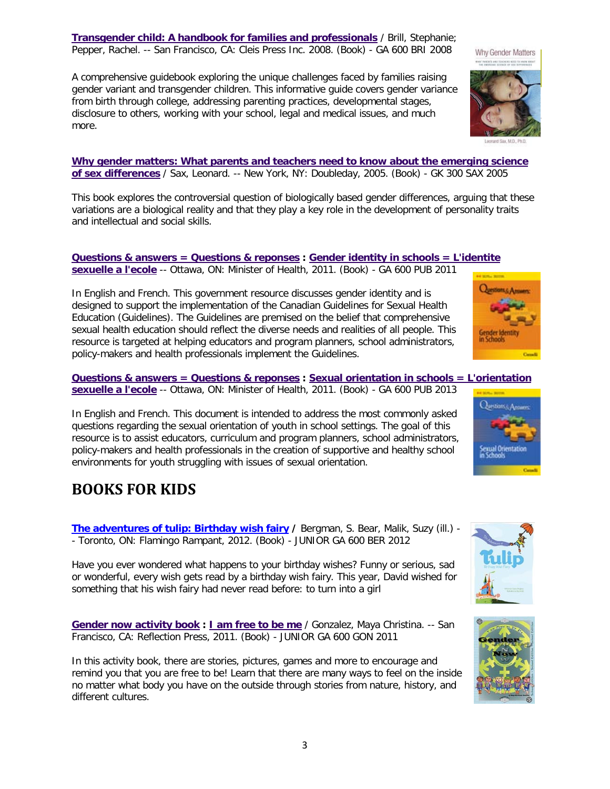**[Transgender child: A handbook for families and professionals](http://library.cw.bc.ca/catalogue/11325/default.aspx)** / Brill, Stephanie; Pepper, Rachel. -- San Francisco, CA: Cleis Press Inc. 2008. (Book) - GA 600 BRI 2008

A comprehensive guidebook exploring the unique challenges faced by families raising gender variant and transgender children. This informative guide covers gender variance from birth through college, addressing parenting practices, developmental stages, disclosure to others, working with your school, legal and medical issues, and much more.

**[Why gender matters: What parents and teachers need to know about the emerging science](http://library.cw.bc.ca/catalogue/9374/default.aspx)  [of sex differences](http://library.cw.bc.ca/catalogue/9374/default.aspx)** / Sax, Leonard. -- New York, NY: Doubleday, 2005. (Book) - GK 300 SAX 2005

This book explores the controversial question of biologically based gender differences, arguing that these variations are a biological reality and that they play a key role in the development of personality traits and intellectual and social skills.

#### **[Questions & answers = Questions & reponses](http://library.cw.bc.ca/catalogue/11983/default.aspx) : [Gender identity in schools = L'identite](http://library.cw.bc.ca/dbtw-wpd/exec/dbtwpub.dll?AC=GET_RECORD&XC=/dbtw-wpd/exec/dbtwpub.dll&BU=http%3A%2F%2Flibrary.cw.bc.ca%2Fcw%2Fpublic%2Fcatalogue%2Fsearch.htm&TN=Catalog&SN=AUTO12530&SE=516&RN=7&MR=20&TR=0&TX=1000&ES=0&CS=1&XP=&RF=WebBriefPublic&EF=&DF=WebFullPublic&RL=0&EL=0&DL=0&NP=1&ID=&MF=&MQ=&TI=0&DT=&ST=0&IR=6168&NR=0&NB=0&SV=0&SS=1&BG=&FG=&QS=&OEX=ISO-8859-1&OEH=ISO-8859-1)  [sexuelle a l'ecole](http://library.cw.bc.ca/dbtw-wpd/exec/dbtwpub.dll?AC=GET_RECORD&XC=/dbtw-wpd/exec/dbtwpub.dll&BU=http%3A%2F%2Flibrary.cw.bc.ca%2Fcw%2Fpublic%2Fcatalogue%2Fsearch.htm&TN=Catalog&SN=AUTO12530&SE=516&RN=7&MR=20&TR=0&TX=1000&ES=0&CS=1&XP=&RF=WebBriefPublic&EF=&DF=WebFullPublic&RL=0&EL=0&DL=0&NP=1&ID=&MF=&MQ=&TI=0&DT=&ST=0&IR=6168&NR=0&NB=0&SV=0&SS=1&BG=&FG=&QS=&OEX=ISO-8859-1&OEH=ISO-8859-1)** -- Ottawa, ON: Minister of Health, 2011. (Book) - GA 600 PUB 2011

In English and French. This government resource discusses gender identity and is designed to support the implementation of the Canadian Guidelines for Sexual Health Education (Guidelines). The Guidelines are premised on the belief that comprehensive sexual health education should reflect the diverse needs and realities of all people. This resource is targeted at helping educators and program planners, school administrators, policy-makers and health professionals implement the Guidelines.

**[Questions & answers = Questions & reponses](http://library.cw.bc.ca/catalogue/12595/default.aspx) : [Sexual orientation in schools = L'orientation](http://library.cw.bc.ca/dbtw-wpd/exec/dbtwpub.dll?AC=GET_RECORD&XC=/dbtw-wpd/exec/dbtwpub.dll&BU=http%3A%2F%2Flibrary.cw.bc.ca%2Fcw%2Fpublic%2Fcatalogue%2Fsearch.htm&TN=Catalog&SN=AUTO12530&SE=516&RN=8&MR=20&TR=0&TX=1000&ES=0&CS=1&XP=&RF=WebBriefPublic&EF=&DF=WebFullPublic&RL=0&EL=0&DL=0&NP=1&ID=&MF=&MQ=&TI=0&DT=&ST=0&IR=6780&NR=0&NB=0&SV=0&SS=1&BG=&FG=&QS=&OEX=ISO-8859-1&OEH=ISO-8859-1)  [sexuelle a l'ecole](http://library.cw.bc.ca/dbtw-wpd/exec/dbtwpub.dll?AC=GET_RECORD&XC=/dbtw-wpd/exec/dbtwpub.dll&BU=http%3A%2F%2Flibrary.cw.bc.ca%2Fcw%2Fpublic%2Fcatalogue%2Fsearch.htm&TN=Catalog&SN=AUTO12530&SE=516&RN=8&MR=20&TR=0&TX=1000&ES=0&CS=1&XP=&RF=WebBriefPublic&EF=&DF=WebFullPublic&RL=0&EL=0&DL=0&NP=1&ID=&MF=&MQ=&TI=0&DT=&ST=0&IR=6780&NR=0&NB=0&SV=0&SS=1&BG=&FG=&QS=&OEX=ISO-8859-1&OEH=ISO-8859-1)** -- Ottawa, ON: Minister of Health, 2011. (Book) - GA 600 PUB 2013

In English and French. This document is intended to address the most commonly asked questions regarding the sexual orientation of youth in school settings. The goal of this resource is to assist educators, curriculum and program planners, school administrators, policy-makers and health professionals in the creation of supportive and healthy school environments for youth struggling with issues of sexual orientation.

# **BOOKS FOR KIDS**

**[The adventures of tulip: Birthday wish fairy](http://library.cw.bc.ca/catalogue/12923/default.aspx) / Bergman, S. Bear, Malik, Suzy (ill.) -**- Toronto, ON: Flamingo Rampant, 2012. (Book) - JUNIOR GA 600 BER 2012

Have you ever wondered what happens to your birthday wishes? Funny or serious, sad or wonderful, every wish gets read by a birthday wish fairy. This year, David wished for something that his wish fairy had never read before: to turn into a girl

**[Gender now activity book](http://library.cw.bc.ca/catalogue/12925/default.aspx) : [I am free to be me](http://library.cw.bc.ca/dbtw-wpd/exec/dbtwpub.dll?AC=GET_RECORD&XC=/dbtw-wpd/exec/dbtwpub.dll&BU=http%3A%2F%2Flibrary.cw.bc.ca%2Fcw%2Fpublic%2Fcatalogue%2Fsearch.htm&TN=Catalog&SN=AUTO12530&SE=516&RN=6&MR=20&TR=0&TX=1000&ES=0&CS=1&XP=&RF=WebBriefPublic&EF=&DF=WebFullPublic&RL=0&EL=0&DL=0&NP=1&ID=&MF=&MQ=&TI=0&DT=&ST=0&IR=7110&NR=0&NB=0&SV=0&SS=1&BG=&FG=&QS=&OEX=ISO-8859-1&OEH=ISO-8859-1)** / Gonzalez, Maya Christina. -- San Francisco, CA: Reflection Press, 2011. (Book) - JUNIOR GA 600 GON 2011

In this activity book, there are stories, pictures, games and more to encourage and remind you that you are free to be! Learn that there are many ways to feel on the inside no matter what body you have on the outside through stories from nature, history, and different cultures.











Why Gender Matters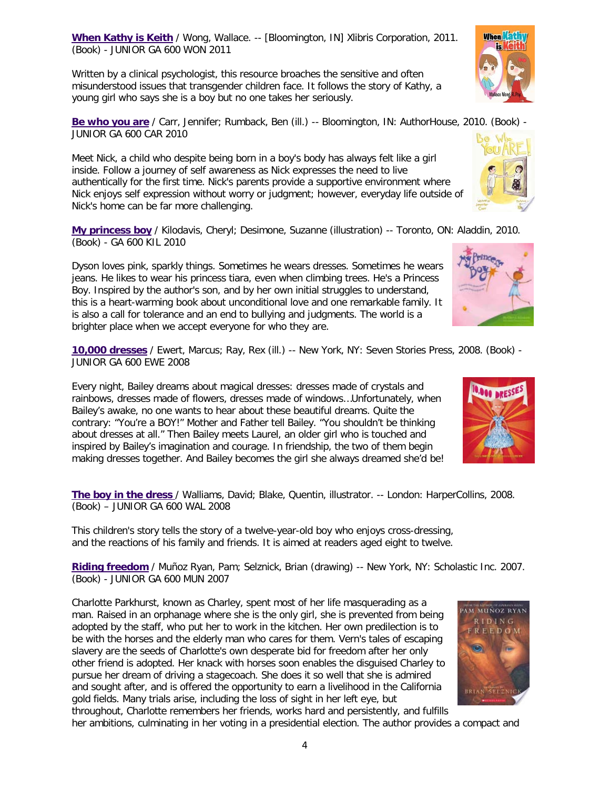**[When Kathy is Keith](http://library.cw.bc.ca/catalogue/11928/default.aspx)** / Wong, Wallace. -- [Bloomington, IN] Xlibris Corporation, 2011. (Book) - JUNIOR GA 600 WON 2011

Written by a clinical psychologist, this resource broaches the sensitive and often misunderstood issues that transgender children face. It follows the story of Kathy, a young girl who says she is a boy but no one takes her seriously.

**[Be who you are](http://library.cw.bc.ca/catalogue/12850/default.aspx)** / Carr, Jennifer; Rumback, Ben (ill.) -- Bloomington, IN: AuthorHouse, 2010. (Book) - JUNIOR GA 600 CAR 2010

Meet Nick, a child who despite being born in a boy's body has always felt like a girl inside. Follow a journey of self awareness as Nick expresses the need to live authentically for the first time. Nick's parents provide a supportive environment where Nick enjoys self expression without worry or judgment; however, everyday life outside of Nick's home can be far more challenging.

**[My princess boy](http://library.cw.bc.ca/catalogue/12866/default.aspx)** / Kilodavis, Cheryl; Desimone, Suzanne (illustration) -- Toronto, ON: Aladdin, 2010. (Book) - GA 600 KIL 2010

Dyson loves pink, sparkly things. Sometimes he wears dresses. Sometimes he wears jeans. He likes to wear his princess tiara, even when climbing trees. He's a Princess Boy. Inspired by the author's son, and by her own initial struggles to understand, this is a heart-warming book about unconditional love and one remarkable family. It is also a call for tolerance and an end to bullying and judgments. The world is a brighter place when we accept everyone for who they are.

**[10,000 dresses](http://library.cw.bc.ca/catalogue/12979/default.aspx)** / Ewert, Marcus; Ray, Rex (ill.) -- New York, NY: Seven Stories Press, 2008. (Book) - JUNIOR GA 600 EWE 2008

Every night, Bailey dreams about magical dresses: dresses made of crystals and rainbows, dresses made of flowers, dresses made of windows…Unfortunately, when Bailey's awake, no one wants to hear about these beautiful dreams. Quite the contrary: "You're a BOY!" Mother and Father tell Bailey. "You shouldn't be thinking about dresses at all." Then Bailey meets Laurel, an older girl who is touched and inspired by Bailey's imagination and courage. In friendship, the two of them begin making dresses together. And Bailey becomes the girl she always dreamed she'd be!

**[The boy in the dress](http://library.cw.bc.ca/catalogue/12834/default.aspx)** / Walliams, David; Blake, Quentin, illustrator. -- London: HarperCollins, 2008. (Book) – JUNIOR GA 600 WAL 2008

This children's story tells the story of a twelve-year-old boy who enjoys cross-dressing, and the reactions of his family and friends. It is aimed at readers aged eight to twelve.

**[Riding freedom](http://library.cw.bc.ca/catalogue/12856/default.aspx)** / Muñoz Ryan, Pam; Selznick, Brian (drawing) -- New York, NY: Scholastic Inc. 2007. (Book) - JUNIOR GA 600 MUN 2007

Charlotte Parkhurst, known as Charley, spent most of her life masquerading as a man. Raised in an orphanage where she is the only girl, she is prevented from being adopted by the staff, who put her to work in the kitchen. Her own predilection is to be with the horses and the elderly man who cares for them. Vern's tales of escaping slavery are the seeds of Charlotte's own desperate bid for freedom after her only other friend is adopted. Her knack with horses soon enables the disguised Charley to pursue her dream of driving a stagecoach. She does it so well that she is admired and sought after, and is offered the opportunity to earn a livelihood in the California gold fields. Many trials arise, including the loss of sight in her left eye, but throughout, Charlotte remembers her friends, works hard and persistently, and fulfills